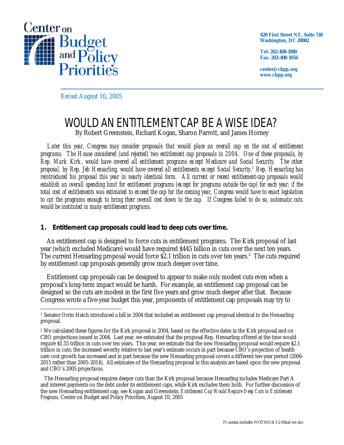

**820 First Street NE, Suite 510 Washington, DC 20002**

**Tel: 202-408-1080 Fax: 202-408-1056**

**center@cbpp.org www.cbpp.org**

*Revised* August 10, 2005

# WOULD AN ENTITLEMENT CAP BE A WISE IDEA? By Robert Greenstein, Richard Kogan, Sharon Parrott, and James Horney

*Later this year, Congress may consider proposals that would place an overall cap on the cost of entitlement programs. The House considered (and rejected) two entitlement cap proposals in 2004. One of these proposals, by Rep. Mark Kirk, would have covered all entitlement programs except Medicare and Social Security. The other proposal, by Rep. Jeb Hensarling, would have covered all entitlements except Social Security.<sup>1</sup> Rep. Hensarling has reintroduced his proposal this year in nearly identical form. All current or recent entitlement-cap proposals would establish an overall spending limit for entitlement programs (except for programs outside the cap) for each year; if the total cost of entitlements was estimated to exceed the cap for the coming year, Congress would have to enact legislation to cut the programs enough to bring their overall cost down to the cap. If Congress failed to do so, automatic cuts would be instituted in many entitlement programs.*

# **1. Entitlement cap proposals could lead to deep cuts over time.**

An entitlement cap is designed to force cuts in entitlement programs. The Kirk proposal of last year (which excluded Medicare) would have required \$445 billion in cuts over the next ten years. The current Hensarling proposal would force \$2.1 trillion in cuts over ten years.<sup>2</sup> The cuts required by entitlement cap proposals generally grow much deeper over time.

Entitlement cap proposals can be designed to appear to make only modest cuts even when a proposal's long-term impact would be harsh. For example, an entitlement cap proposal can be designed so the cuts are modest in the first five years and grow much deeper after that. Because Congress wrote a five-year budget this year, proponents of entitlement cap proposals may try to

 The Hensarling proposal requires deeper cuts than the Kirk proposal because Hensarling includes Medicare Part A and interest payments on the debt under its entitlement caps, while Kirk excludes them both. For further discussion of the new Hensarling entitlement cap, see Kogan and Greenstein, *Entitlement Cap Would Require Deep Cuts in Entitlement Programs,* Center on Budget and Policy Priorities, August 10, 2005

<sup>&</sup>lt;u>.</u> 1 Senator Orrin Hatch introduced a bill in 2004 that included an entitlement cap proposal identical to the Hensarling proposal.

<sup>2</sup> We calculated these figures for the Kirk proposal in 2004, based on the effective dates in the Kirk proposal and on CBO projections issued in 2004. Last year, we estimated that the proposal Rep. Hensarling offered at the time would require \$1.55 trillion in cuts over ten years. This year, we estimate that the new Hensarling proposal would require \$2.1 trillion in cuts; the increased severity relative to last year's estimate occurs in part because CBO's projection of health care cost growth has increased and in part because the new Hensarling proposal covers a different ten-year period (2006- 2015 rather than 2005-2014). All estimates of the Hensarling proposal in this analysis are based upon the new proposal and CBO's 2005 projections.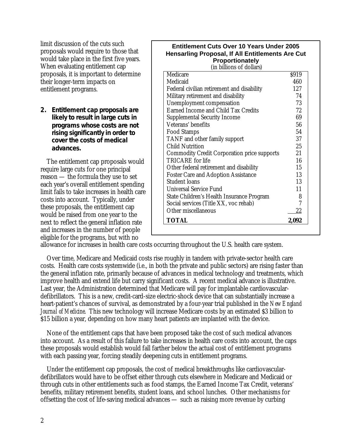limit discussion of the cuts such proposals would require to those that would take place in the first five years. When evaluating entitlement cap proposals, it is important to determine their longer-term impacts on entitlement programs.

**2. Entitlement cap proposals are likely to result in large cuts in programs whose costs are** *not* **rising significantly in order to cover the costs of medical advances.**

The entitlement cap proposals would require large cuts for one principal reason — the formula they use to set each year's overall entitlement spending limit fails to take increases in health care costs into account. Typically, under these proposals, the entitlement cap would be raised from one year to the next to reflect the general inflation rate and increases in the number of people eligible for the programs, but with no

| <b>Entitlement Cuts Over 10 Years Under 2005</b> |
|--------------------------------------------------|
| Hensarling Proposal, If All Entitlements Are Cut |
| Proportionately                                  |

(in billions of dollars)

| Other miscellaneous<br><b>TOTAL</b>                | 22           |
|----------------------------------------------------|--------------|
| Social services (Title XX, voc rehab)              | 7            |
| State Children's Health Insurance Program          | 8            |
| <b>Universal Service Fund</b>                      | 11           |
| Student loans                                      | 13           |
| <b>Foster Care and Adoption Assistance</b>         | 13           |
| Other federal retirement and disability            | 15           |
| <b>TRICARE</b> for life                            | 16           |
| <b>Commodity Credit Corporation price supports</b> | 21           |
| <b>Child Nutrition</b>                             | 25           |
| TANF and other family support                      | 37           |
| <b>Food Stamps</b>                                 | 54           |
| Veterans' benefits                                 | 56           |
| <b>Supplemental Security Income</b>                | 69           |
| Earned Income and Child Tax Credits                | 72           |
| Unemployment compensation                          | 73           |
| Military retirement and disability                 | 74           |
| Federal civilian retirement and disability         | 127          |
| Medicare<br>Medicaid                               | \$919<br>460 |

allowance for increases in health care costs occurring throughout the U.S. health care system.

Over time, Medicare and Medicaid costs rise roughly in tandem with private-sector health care costs. Health care costs systemwide (i.e., in both the private and public sectors) are rising faster than the general inflation rate, primarily because of advances in medical technology and treatments, which improve health and extend life but carry significant costs. A recent medical advance is illustrative. Last year, the Administration determined that Medicare will pay for implantable cardiovasculardefibrillators. This is a new, credit-card-size electric-shock device that can substantially increase a heart-patient's chances of survival, as demonstrated by a four-year trial published in the *New England Journal of Medicine*. This new technology will increase Medicare costs by an estimated \$3 billion to \$15 billion a year, depending on how many heart patients are implanted with the device.

None of the entitlement caps that have been proposed take the cost of such medical advances into account. As a result of this failure to take increases in health care costs into account, the caps these proposals would establish would fall farther below the actual cost of entitlement programs with each passing year, forcing steadily deepening cuts in entitlement programs.

Under the entitlement cap proposals, the cost of medical breakthroughs like cardiovasculardefibrillators would have to be offset either through cuts elsewhere in Medicare and Medicaid or through cuts in other entitlements such as food stamps, the Earned Income Tax Credit, veterans' benefits, military retirement benefits, student loans, and school lunches. Other mechanisms for offsetting the cost of life-saving medical advances — such as raising more revenue by curbing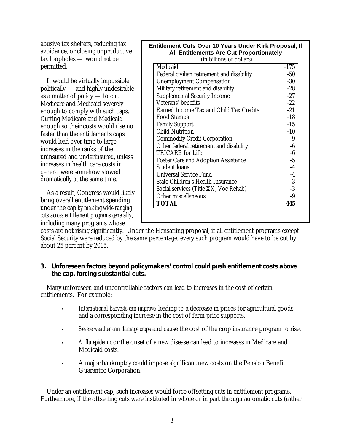abusive tax shelters, reducing tax avoidance, or closing unproductive tax loopholes — would *not* be permitted.

It would be virtually impossible politically — and highly undesirable as a matter of policy — to cut Medicare and Medicaid severely enough to comply with such caps. Cutting Medicare and Medicaid enough so their costs would rise no faster than the entitlements caps would lead over time to large increases in the ranks of the uninsured and underinsured, unless increases in health care costs in general were somehow slowed dramatically at the same time.

As a result, Congress would likely bring overall entitlement spending under the cap *by making wide-ranging cuts across entitlement programs generally*, including many programs whose

| Entitlement Cuts Over 10 Years Under Kirk Proposal, If |
|--------------------------------------------------------|
| <b>All Entitlements Are Cut Proportionately</b>        |
|                                                        |

| (in billions of dollars)                   |        |
|--------------------------------------------|--------|
| Medicaid                                   | $-175$ |
| Federal civilian retirement and disability | $-50$  |
| <b>Unemployment Compensation</b>           | $-30$  |
| Military retirement and disability         | $-28$  |
| <b>Supplemental Security Income</b>        | $-27$  |
| Veterans' benefits                         | $-22$  |
| Earned Income Tax and Child Tax Credits    | $-21$  |
| <b>Food Stamps</b>                         | $-18$  |
| <b>Family Support</b>                      | $-15$  |
| <b>Child Nutrition</b>                     | $-10$  |
| <b>Commodity Credit Corporation</b>        | -9     |
| Other federal retirement and disability    | -6     |
| TRICARE for Life                           | $-6$   |
| <b>Foster Care and Adoption Assistance</b> | $-5$   |
| <b>Student loans</b>                       | $-4$   |
| <b>Universal Service Fund</b>              | $-4$   |
| State Children's Health Insurance          | $-3$   |
| Social services (Title XX, Voc Rehab)      | $-3$   |
| Other miscellaneous                        | -9     |
| <b>TOTAL</b>                               | -445   |

costs are not rising significantly. Under the Hensarling proposal, if all entitlement programs except Social Security were reduced by the same percentage, every such program would have to be cut by about 25 percent by 2015.

## **3. Unforeseen factors beyond policymakers' control could push entitlement costs above the cap, forcing substantial cuts.**

Many unforeseen and uncontrollable factors can lead to increases in the cost of certain entitlements. For example:

- *International harvests can improve*, leading to a decrease in prices for agricultural goods and a corresponding increase in the cost of farm price supports.
- *Severe weather can damage crops* and cause the cost of the crop insurance program to rise.
- *A flu epidemic* or the onset of a new disease can lead to increases in Medicare and Medicaid costs.
- A major bankruptcy could impose significant new costs on the Pension Benefit Guarantee Corporation.

Under an entitlement cap, such increases would force offsetting cuts in entitlement programs. Furthermore, if the offsetting cuts were instituted in whole or in part through automatic cuts (rather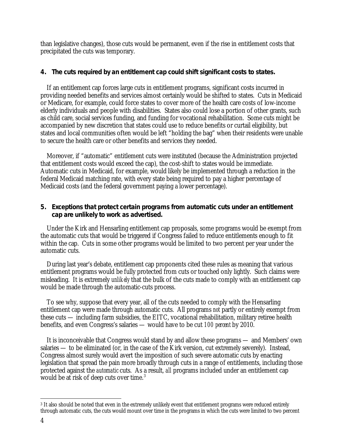than legislative changes), those cuts would be permanent, even if the rise in entitlement costs that precipitated the cuts was temporary.

# **4. The cuts required by an entitlement cap could shift significant costs to states.**

If an entitlement cap forces large cuts in entitlement programs, significant costs incurred in providing needed benefits and services almost certainly would be shifted to states. Cuts in Medicaid or Medicare, for example, could force states to cover more of the health care costs of low-income elderly individuals and people with disabilities. States also could lose a portion of other grants, such as child care, social services funding, and funding for vocational rehabilitation. Some cuts might be accompanied by new discretion that states could use to reduce benefits or curtail eligibility, but states and local communities often would be left "holding the bag" when their residents were unable to secure the health care or other benefits and services they needed.

Moreover, if "automatic" entitlement cuts were instituted (because the Administration projected that entitlement costs would exceed the cap), the cost-shift to states would be immediate. Automatic cuts in Medicaid, for example, would likely be implemented through a reduction in the federal Medicaid matching rate, with every state being required to pay a higher percentage of Medicaid costs (and the federal government paying a lower percentage).

# **5. Exceptions that protect certain programs from automatic cuts under an entitlement cap are unlikely to work as advertised.**

Under the Kirk and Hensarling entitlement cap proposals, some programs would be exempt from the automatic cuts that would be triggered if Congress failed to reduce entitlements enough to fit within the cap. Cuts in some other programs would be limited to two percent per year under the automatic cuts.

During last year's debate, entitlement cap proponents cited these rules as meaning that various entitlement programs would be fully protected from cuts or touched only lightly. Such claims were misleading. It is extremely *unlikely* that the bulk of the cuts made to comply with an entitlement cap would be made through the automatic-cuts process.

To see why, suppose that every year, all of the cuts needed to comply with the Hensarling entitlement cap were made through automatic cuts. All programs *not* partly or entirely exempt from these cuts — including farm subsidies, the EITC, vocational rehabilitation, military retiree health benefits, and even Congress's salaries — would have to be cut *100 percent* by 2010.

It is inconceivable that Congress would stand by and allow these programs — and Members' own salaries — to be eliminated (or, in the case of the Kirk version, cut extremely severely). Instead, Congress almost surely would avert the imposition of such severe automatic cuts by enacting legislation that spread the pain more broadly through cuts in a range of entitlements, including those protected against the *automatic* cuts. As a result, *all* programs included under an entitlement cap would be at risk of deep cuts over time. $3$ 

 $\overline{a}$ 3 It also should be noted that even in the extremely unlikely event that entitlement programs were reduced entirely through automatic cuts, the cuts would mount over time in the programs in which the cuts were limited to two percent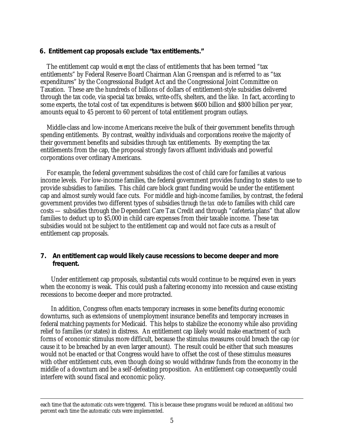#### **6. Entitlement cap proposals exclude "tax entitlements."**

The entitlement cap would *exempt* the class of entitlements that has been termed "tax entitlements" by Federal Reserve Board Chairman Alan Greenspan and is referred to as "tax expenditures" by the Congressional Budget Act and the Congressional Joint Committee on Taxation. These are the hundreds of billions of dollars of entitlement-style subsidies delivered through the tax code, via special tax breaks, write-offs, shelters, and the like. In fact, according to some experts, the total cost of tax expenditures is between \$600 billion and \$800 billion per year, amounts equal to 45 percent to 60 percent of total entitlement program outlays.

Middle-class and low-income Americans receive the bulk of their government benefits through spending entitlements. By contrast, wealthy individuals and corporations receive the majority of their government benefits and subsidies through tax entitlements. By exempting the tax entitlements from the cap, the proposal strongly favors affluent individuals and powerful corporations over ordinary Americans.

For example, the federal government subsidizes the cost of child care for families at various income levels. For low-income families, the federal government provides funding to states to use to provide subsidies to families. This child care block grant funding would be under the entitlement cap and almost surely would face cuts. For middle and high-income families, by contrast, the federal government provides two different types of subsidies *through the tax code* to families with child care costs — subsidies through the Dependent Care Tax Credit and through "cafeteria plans" that allow families to deduct up to \$5,000 in child care expenses from their taxable income. These tax subsidies would *not* be subject to the entitlement cap and would not face cuts as a result of entitlement cap proposals.

### **7. An entitlement cap would likely cause recessions to become deeper and more frequent.**

Under entitlement cap proposals, substantial cuts would continue to be required even in years when the economy is weak. This could push a faltering economy into recession and cause existing recessions to become deeper and more protracted.

In addition, Congress often enacts temporary increases in some benefits during economic downturns, such as extensions of unemployment insurance benefits and temporary increases in federal matching payments for Medicaid. This helps to stabilize the economy while also providing relief to families (or states) in distress. An entitlement cap likely would make enactment of such forms of economic stimulus more difficult, because the stimulus measures could breach the cap (or cause it to be breached by an even larger amount). The result could be either that such measures would not be enacted or that Congress would have to offset the cost of these stimulus measures with other entitlement cuts, even though doing so would withdraw funds from the economy in the middle of a downturn and be a self-defeating proposition. An entitlement cap consequently could interfere with sound fiscal and economic policy.

<u>.</u>

each time that the automatic cuts were triggered. This is because these programs would be reduced an *additional* two percent each time the automatic cuts were implemented.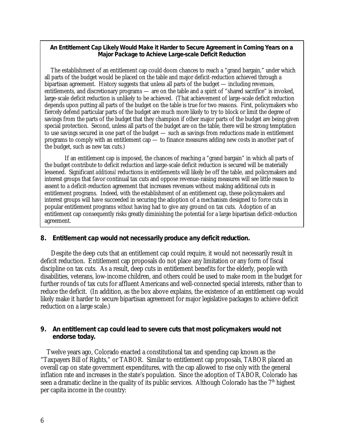#### **An Entitlement Cap Likely Would Make it Harder to Secure Agreement in Coming Years on a Major Package to Achieve Large-scale Deficit Reduction**

The establishment of an entitlement cap could doom chances to reach a "grand bargain," under which all parts of the budget would be placed on the table and major deficit-reduction achieved through a bipartisan agreement. History suggests that unless all parts of the budget — including revenues, entitlements, and discretionary programs — are on the table and a spirit of "shared sacrifice" is invoked, large-scale deficit reduction is unlikely to be achieved. (That achievement of large-scale deficit reduction depends upon putting all parts of the budget on the table is true for two reasons. First, policymakers who fiercely defend particular parts of the budget are much more likely to try to block or limit the degree of savings from the parts of the budget that they champion if other major parts of the budget are being given special protection. Second, unless all parts of the budget are on the table, there will be strong temptation to use savings secured in one part of the budget — such as savings from reductions made in entitlement programs to comply with an entitlement cap — to finance measures adding new costs in another part of the budget, such as new tax cuts.)

If an entitlement cap is imposed, the chances of reaching a "grand bargain" in which all parts of the budget contribute to deficit reduction and large-scale deficit reduction is secured will be materially lessened. Significant *additional* reductions in entitlements will likely be off the table, and policymakers and interest groups that favor continual tax cuts and oppose revenue-raising measures will see little reason to assent to a deficit-reduction agreement that increases revenues without making additional cuts in entitlement programs. Indeed, with the establishment of an entitlement cap, these policymakers and interest groups will have succeeded in securing the adoption of a mechanism designed to force cuts in popular entitlement programs *without* having had to give any ground on tax cuts. Adoption of an entitlement cap consequently risks greatly diminishing the potential for a large bipartisan deficit-reduction agreement.

### **8. Entitlement cap would not necessarily produce any deficit reduction.**

Despite the deep cuts that an entitlement cap could require, it would not necessarily result in deficit reduction. Entitlement cap proposals do not place any limitation or any form of fiscal discipline on tax cuts. As a result, deep cuts in entitlement benefits for the elderly, people with disabilities, veterans, low-income children, and others could be used to make room in the budget for further rounds of tax cuts for affluent Americans and well-connected special interests, rather than to reduce the deficit. (In addition, as the box above explains, the existence of an entitlement cap would likely make it harder to secure bipartisan agreement for major legislative packages to achieve deficit reduction on a large scale.)

### **9. An entitlement cap could lead to severe cuts that most policymakers would not endorse today.**

Twelve years ago, Colorado enacted a constitutional tax and spending cap known as the "Taxpayers Bill of Rights," or TABOR. Similar to entitlement cap proposals, TABOR placed an overall cap on state government expenditures, with the cap allowed to rise only with the general inflation rate and increases in the state's population. Since the adoption of TABOR, Colorado has seen a dramatic decline in the quality of its public services. Although Colorado has the  $7<sup>th</sup>$  highest per capita income in the country: